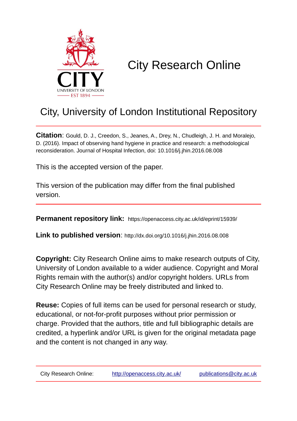

# City Research Online

## City, University of London Institutional Repository

**Citation**: Gould, D. J., Creedon, S., Jeanes, A., Drey, N., Chudleigh, J. H. and Moralejo, D. (2016). Impact of observing hand hygiene in practice and research: a methodological reconsideration. Journal of Hospital Infection, doi: 10.1016/j.jhin.2016.08.008

This is the accepted version of the paper.

This version of the publication may differ from the final published version.

**Permanent repository link:** https://openaccess.city.ac.uk/id/eprint/15939/

**Link to published version**: http://dx.doi.org/10.1016/j.jhin.2016.08.008

**Copyright:** City Research Online aims to make research outputs of City, University of London available to a wider audience. Copyright and Moral Rights remain with the author(s) and/or copyright holders. URLs from City Research Online may be freely distributed and linked to.

**Reuse:** Copies of full items can be used for personal research or study, educational, or not-for-profit purposes without prior permission or charge. Provided that the authors, title and full bibliographic details are credited, a hyperlink and/or URL is given for the original metadata page and the content is not changed in any way.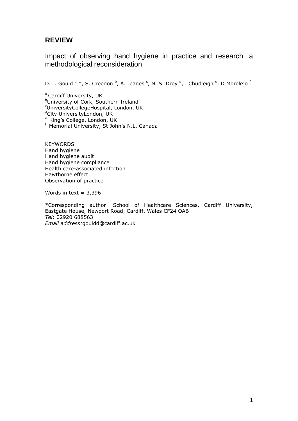## **REVIEW**

Impact of observing hand hygiene in practice and research: a methodological reconsideration

D. J. Gould <sup>a</sup> \*, S. Creedon <sup>b</sup>, A. Jeanes <sup>c</sup>, N. S. Drey <sup>d</sup>, J Chudleigh <sup>e</sup>, D Morelejo <sup>f</sup>

<sup>a</sup> Cardiff University, UK **bUniversity of Cork, Southern Ireland** <sup>c</sup>UniversityCollegeHospital, London, UK <sup>d</sup>City UniversityLondon, UK e King's College, London, UK f Memorial University, St John's N.L. Canada

**KEYWORDS** Hand hygiene Hand hygiene audit Hand hygiene compliance Health care-associated infection Hawthorne effect Observation of practice

Words in text =  $3,396$ 

\*Corresponding author: School of Healthcare Sciences, Cardiff University, Eastgate House, Newport Road, Cardiff, Wales CF24 OAB *Tel*: 02920 688563 *Email address:*[gouldd@cardiff.ac.uk](mailto:gouldd@cardiff.ac.uk)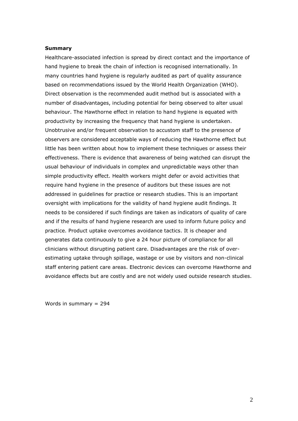### **Summary**

Healthcare-associated infection is spread by direct contact and the importance of hand hygiene to break the chain of infection is recognised internationally. In many countries hand hygiene is regularly audited as part of quality assurance based on recommendations issued by the World Health Organization (WHO). Direct observation is the recommended audit method but is associated with a number of disadvantages, including potential for being observed to alter usual behaviour. The Hawthorne effect in relation to hand hygiene is equated with productivity by increasing the frequency that hand hygiene is undertaken. Unobtrusive and/or frequent observation to accustom staff to the presence of observers are considered acceptable ways of reducing the Hawthorne effect but little has been written about how to implement these techniques or assess their effectiveness. There is evidence that awareness of being watched can disrupt the usual behaviour of individuals in complex and unpredictable ways other than simple productivity effect. Health workers might defer or avoid activities that require hand hygiene in the presence of auditors but these issues are not addressed in guidelines for practice or research studies. This is an important oversight with implications for the validity of hand hygiene audit findings. It needs to be considered if such findings are taken as indicators of quality of care and if the results of hand hygiene research are used to inform future policy and practice. Product uptake overcomes avoidance tactics. It is cheaper and generates data continuously to give a 24 hour picture of compliance for all clinicians without disrupting patient care. Disadvantages are the risk of overestimating uptake through spillage, wastage or use by visitors and non-clinical staff entering patient care areas. Electronic devices can overcome Hawthorne and avoidance effects but are costly and are not widely used outside research studies.

Words in summary = 294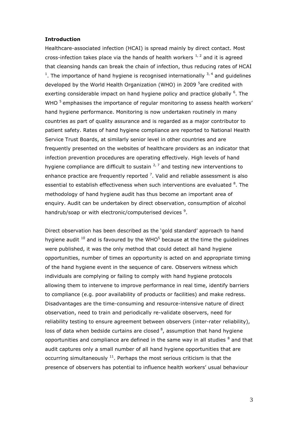## **Introduction**

Healthcare-associated infection (HCAI) is spread mainly by direct contact. Most cross-infection takes place via the hands of health workers  $1/2$  and it is agreed that cleansing hands can break the chain of infection, thus reducing rates of HCAI <sup>1</sup>. The importance of hand hygiene is recognised internationally  $3, 4$  and guidelines developed by the World Health Organization (WHO) in 2009 <sup>5</sup>are credited with exerting considerable impact on hand hygiene policy and practice globally  $6$ . The WHO  $<sup>5</sup>$  emphasises the importance of regular monitoring to assess health workers'</sup> hand hygiene performance. Monitoring is now undertaken routinely in many countries as part of quality assurance and is regarded as a major contributor to patient safety. Rates of hand hygiene compliance are reported to National Health Service Trust Boards, at similarly senior level in other countries and are frequently presented on the websites of healthcare providers as an indicator that infection prevention procedures are operating effectively. High levels of hand hygiene compliance are difficult to sustain  $2^7$  and testing new interventions to enhance practice are frequently reported  $<sup>7</sup>$ . Valid and reliable assessment is also</sup> essential to establish effectiveness when such interventions are evaluated <sup>8</sup>. The methodology of hand hygiene audit has thus become an important area of enquiry. Audit can be undertaken by direct observation, consumption of alcohol handrub/soap or with electronic/computerised devices<sup>9</sup>.

Direct observation has been described as the 'gold standard' approach to hand hygiene audit  $10$  and is favoured by the WHO<sup>5</sup> because at the time the guidelines were published, it was the only method that could detect all hand hygiene opportunities, number of times an opportunity is acted on and appropriate timing of the hand hygiene event in the sequence of care. Observers witness which individuals are complying or failing to comply with hand hygiene protocols allowing them to intervene to improve performance in real time, identify barriers to compliance (e.g. poor availability of products or facilities) and make redress. Disadvantages are the time-consuming and resource-intensive nature of direct observation, need to train and periodically re-validate observers, need for reliability testing to ensure agreement between observers (inter-rater reliability), loss of data when bedside curtains are closed  $8$ , assumption that hand hygiene opportunities and compliance are defined in the same way in all studies  $<sup>8</sup>$  and that</sup> audit captures only a small number of all hand hygiene opportunities that are occurring simultaneously  $11$ . Perhaps the most serious criticism is that the presence of observers has potential to influence health workers' usual behaviour

3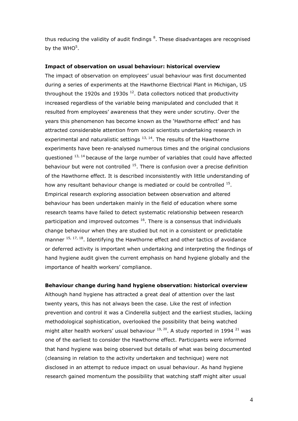thus reducing the validity of audit findings <sup>8</sup>. These disadvantages are recognised by the WHO $5$ .

## **Impact of observation on usual behaviour: historical overview**

The impact of observation on employees' usual behaviour was first documented during a series of experiments at the Hawthorne Electrical Plant in Michigan, US throughout the 1920s and 1930s  $^{12}$ . Data collectors noticed that productivity increased regardless of the variable being manipulated and concluded that it resulted from employees' awareness that they were under scrutiny. Over the years this phenomenon has become known as the 'Hawthorne effect' and has attracted considerable attention from social scientists undertaking research in experimental and naturalistic settings  $13, 14$ . The results of the Hawthorne experiments have been re-analysed numerous times and the original conclusions questioned  $^{13, 14}$  because of the large number of variables that could have affected behaviour but were not controlled  $15$ . There is confusion over a precise definition of the Hawthorne effect. It is described inconsistently with little understanding of how any resultant behaviour change is mediated or could be controlled  $<sup>15</sup>$ .</sup> Empirical research exploring association between observation and altered behaviour has been undertaken mainly in the field of education where some research teams have failed to detect systematic relationship between research participation and improved outcomes  $16$ . There is a consensus that individuals change behaviour when they are studied but not in a consistent or predictable manner  $15, 17, 18$ . Identifying the Hawthorne effect and other tactics of avoidance or deferred activity is important when undertaking and interpreting the findings of hand hygiene audit given the current emphasis on hand hygiene globally and the importance of health workers' compliance.

## **Behaviour change during hand hygiene observation: historical overview**

Although hand hygiene has attracted a great deal of attention over the last twenty years, this has not always been the case. Like the rest of infection prevention and control it was a Cinderella subject and the earliest studies, lacking methodological sophistication, overlooked the possibility that being watched might alter health workers' usual behaviour  $^{19, 20}$ . A study reported in 1994  $^{21}$  was one of the earliest to consider the Hawthorne effect. Participants were informed that hand hygiene was being observed but details of what was being documented (cleansing in relation to the activity undertaken and technique) were not disclosed in an attempt to reduce impact on usual behaviour. As hand hygiene research gained momentum the possibility that watching staff might alter usual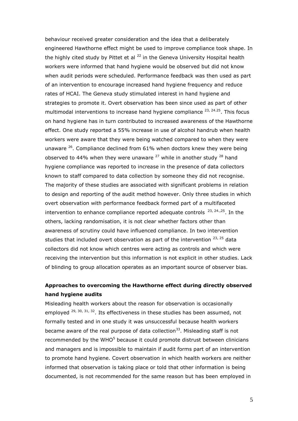behaviour received greater consideration and the idea that a deliberately engineered Hawthorne effect might be used to improve compliance took shape. In the highly cited study by Pittet et al  $^{22}$  in the Geneva University Hospital health workers were informed that hand hygiene would be observed but did not know when audit periods were scheduled. Performance feedback was then used as part of an intervention to encourage increased hand hygiene frequency and reduce rates of HCAI. The Geneva study stimulated interest in hand hygiene and strategies to promote it. Overt observation has been since used as part of other multimodal interventions to increase hand hygiene compliance  $^{23, 24.25}$ . This focus on hand hygiene has in turn contributed to increased awareness of the Hawthorne effect. One study reported a 55% increase in use of alcohol handrub when health workers were aware that they were being watched compared to when they were unaware  $26$ . Compliance declined from 61% when doctors knew they were being observed to 44% when they were unaware  $^{27}$  while in another study  $^{28}$  hand hygiene compliance was reported to increase in the presence of data collectors known to staff compared to data collection by someone they did not recognise. The majority of these studies are associated with significant problems in relation to design and reporting of the audit method however. Only three studies in which overt observation with performance feedback formed part of a multifaceted intervention to enhance compliance reported adequate controls  $23, 24, 25$ . In the others, lacking randomisation, it is not clear whether factors other than awareness of scrutiny could have influenced compliance. In two intervention studies that included overt observation as part of the intervention  $23, 25$  data collectors did not know which centres were acting as controls and which were receiving the intervention but this information is not explicit in other studies. Lack of blinding to group allocation operates as an important source of observer bias.

## **Approaches to overcoming the Hawthorne effect during directly observed hand hygiene audits**

Misleading health workers about the reason for observation is occasionally employed  $^{29, 30, 31, 32}$ . Its effectiveness in these studies has been assumed, not formally tested and in one study it was unsuccessful because health workers became aware of the real purpose of data collection<sup>33</sup>. Misleading staff is not recommended by the WHO $5$  because it could promote distrust between clinicians and managers and is impossible to maintain if audit forms part of an intervention to promote hand hygiene. Covert observation in which health workers are neither informed that observation is taking place or told that other information is being documented, is not recommended for the same reason but has been employed in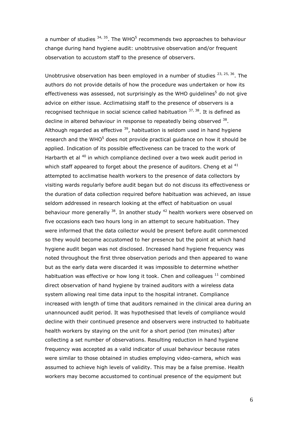a number of studies  $34, 35$ . The WHO<sup>5</sup> recommends two approaches to behaviour change during hand hygiene audit: unobtrusive observation and/or frequent observation to accustom staff to the presence of observers.

Unobtrusive observation has been employed in a number of studies  $23, 25, 36$ . The authors do not provide details of how the procedure was undertaken or how its effectiveness was assessed, not surprisingly as the WHO guidelines<sup>5</sup> do not give advice on either issue. Acclimatising staff to the presence of observers is a recognised technique in social science called habituation  $37,38$ . It is defined as decline in altered behaviour in response to repeatedly being observed 38. Although regarded as effective  $39$ , habituation is seldom used in hand hygiene research and the WHO $<sup>5</sup>$  does not provide practical guidance on how it should be</sup> applied. Indication of its possible effectiveness can be traced to the work of Harbarth et al <sup>40</sup> in which compliance declined over a two week audit period in which staff appeared to forget about the presence of auditors. Cheng et al  $41$ attempted to acclimatise health workers to the presence of data collectors by visiting wards regularly before audit began but do not discuss its effectiveness or the duration of data collection required before habituation was achieved, an issue seldom addressed in research looking at the effect of habituation on usual behaviour more generally  $38$ . In another study  $42$  health workers were observed on five occasions each two hours long in an attempt to secure habituation. They were informed that the data collector would be present before audit commenced so they would become accustomed to her presence but the point at which hand hygiene audit began was not disclosed. Increased hand hygiene frequency was noted throughout the first three observation periods and then appeared to wane but as the early data were discarded it was impossible to determine whether habituation was effective or how long it took. Chen and colleagues  $11$  combined direct observation of hand hygiene by trained auditors with a wireless data system allowing real time data input to the hospital intranet. Compliance increased with length of time that auditors remained in the clinical area during an unannounced audit period. It was hypothesised that levels of compliance would decline with their continued presence and observers were instructed to habituate health workers by staying on the unit for a short period (ten minutes) after collecting a set number of observations. Resulting reduction in hand hygiene frequency was accepted as a valid indicator of usual behaviour because rates were similar to those obtained in studies employing video-camera, which was assumed to achieve high levels of validity. This may be a false premise. Health workers may become accustomed to continual presence of the equipment but

6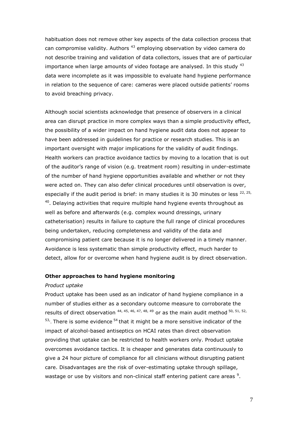habituation does not remove other key aspects of the data collection process that can compromise validity. Authors<sup>43</sup> employing observation by video camera do not describe training and validation of data collectors, issues that are of particular importance when large amounts of video footage are analysed. In this study  $43$ data were incomplete as it was impossible to evaluate hand hygiene performance in relation to the sequence of care: cameras were placed outside patients' rooms to avoid breaching privacy.

Although social scientists acknowledge that presence of observers in a clinical area can disrupt practice in more complex ways than a simple productivity effect, the possibility of a wider impact on hand hygiene audit data does not appear to have been addressed in guidelines for practice or research studies. This is an important oversight with major implications for the validity of audit findings. Health workers can practice avoidance tactics by moving to a location that is out of the auditor's range of vision (e.g. treatment room) resulting in under-estimate of the number of hand hygiene opportunities available and whether or not they were acted on. They can also defer clinical procedures until observation is over, especially if the audit period is brief: in many studies it is 30 minutes or less  $^{22, 25, 25}$  $40.$  Delaying activities that require multiple hand hygiene events throughout as well as before and afterwards (e.g. complex wound dressings, urinary catheterisation) results in failure to capture the full range of clinical procedures being undertaken, reducing completeness and validity of the data and compromising patient care because it is no longer delivered in a timely manner. Avoidance is less systematic than simple productivity effect, much harder to detect, allow for or overcome when hand hygiene audit is by direct observation.

## **Other approaches to hand hygiene monitoring**

#### *Product uptake*

Product uptake has been used as an indicator of hand hygiene compliance in a number of studies either as a secondary outcome measure to corroborate the results of direct observation  $44, 45, 46, 47, 48, 49$  or as the main audit method  $50, 51, 52,$  $53$ . There is some evidence  $54$  that it might be a more sensitive indicator of the impact of alcohol-based antiseptics on HCAI rates than direct observation providing that uptake can be restricted to health workers only. Product uptake overcomes avoidance tactics. It is cheaper and generates data continuously to give a 24 hour picture of compliance for all clinicians without disrupting patient care. Disadvantages are the risk of over-estimating uptake through spillage, wastage or use by visitors and non-clinical staff entering patient care areas  $9$ .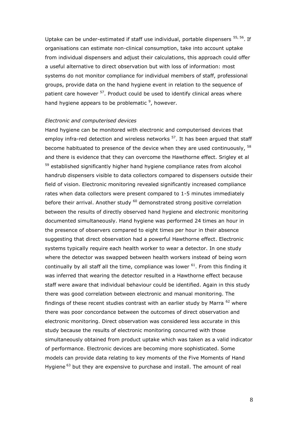Uptake can be under-estimated if staff use individual, portable dispensers <sup>55, 56</sup>. If organisations can estimate non-clinical consumption, take into account uptake from individual dispensers and adjust their calculations, this approach could offer a useful alternative to direct observation but with loss of information: most systems do not monitor compliance for individual members of staff, professional groups, provide data on the hand hygiene event in relation to the sequence of patient care however <sup>57</sup>. Product could be used to identify clinical areas where hand hygiene appears to be problematic  $9$ , however.

### *Electronic and computerised devices*

Hand hygiene can be monitored with electronic and computerised devices that employ infra-red detection and wireless networks  $57$ . It has been arqued that staff become habituated to presence of the device when they are used continuously, <sup>58</sup> and there is evidence that they can overcome the Hawthorne effect. Srigley et al <sup>59</sup> established significantly higher hand hygiene compliance rates from alcohol handrub dispensers visible to data collectors compared to dispensers outside their field of vision. Electronic monitoring revealed significantly increased compliance rates when data collectors were present compared to 1-5 minutes immediately before their arrival. Another study <sup>60</sup> demonstrated strong positive correlation between the results of directly observed hand hygiene and electronic monitoring documented simultaneously. Hand hygiene was performed 24 times an hour in the presence of observers compared to eight times per hour in their absence suggesting that direct observation had a powerful Hawthorne effect. Electronic systems typically require each health worker to wear a detector. In one study where the detector was swapped between health workers instead of being worn continually by all staff all the time, compliance was lower  $61$ . From this finding it was inferred that wearing the detector resulted in a Hawthorne effect because staff were aware that individual behaviour could be identified. Again in this study there was good correlation between electronic and manual monitoring. The findings of these recent studies contrast with an earlier study by Marra  $62$  where there was poor concordance between the outcomes of direct observation and electronic monitoring. Direct observation was considered less accurate in this study because the results of electronic monitoring concurred with those simultaneously obtained from product uptake which was taken as a valid indicator of performance. Electronic devices are becoming more sophisticated. Some models can provide data relating to key moments of the Five Moments of Hand Hygiene<sup>63</sup> but they are expensive to purchase and install. The amount of real

8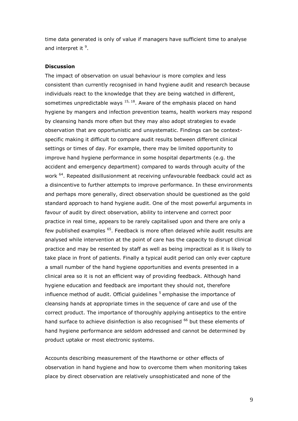time data generated is only of value if managers have sufficient time to analyse and interpret it <sup>9</sup>.

## **Discussion**

The impact of observation on usual behaviour is more complex and less consistent than currently recognised in hand hygiene audit and research because individuals react to the knowledge that they are being watched in different, sometimes unpredictable ways  $15, 18$ . Aware of the emphasis placed on hand hygiene by mangers and infection prevention teams, health workers may respond by cleansing hands more often but they may also adopt strategies to evade observation that are opportunistic and unsystematic. Findings can be contextspecific making it difficult to compare audit results between different clinical settings or times of day. For example, there may be limited opportunity to improve hand hygiene performance in some hospital departments (e.g. the accident and emergency department) compared to wards through acuity of the work <sup>64</sup>. Repeated disillusionment at receiving unfavourable feedback could act as a disincentive to further attempts to improve performance. In these environments and perhaps more generally, direct observation should be questioned as the gold standard approach to hand hygiene audit. One of the most powerful arguments in favour of audit by direct observation, ability to intervene and correct poor practice in real time, appears to be rarely capitalised upon and there are only a few published examples <sup>65</sup>. Feedback is more often delayed while audit results are analysed while intervention at the point of care has the capacity to disrupt clinical practice and may be resented by staff as well as being impractical as it is likely to take place in front of patients. Finally a typical audit period can only ever capture a small number of the hand hygiene opportunities and events presented in a clinical area so it is not an efficient way of providing feedback. Although hand hygiene education and feedback are important they should not, therefore influence method of audit. Official guidelines  $5$  emphasise the importance of cleansing hands at appropriate times in the sequence of care and use of the correct product. The importance of thoroughly applying antiseptics to the entire hand surface to achieve disinfection is also recognised <sup>66</sup> but these elements of hand hygiene performance are seldom addressed and cannot be determined by product uptake or most electronic systems.

Accounts describing measurement of the Hawthorne or other effects of observation in hand hygiene and how to overcome them when monitoring takes place by direct observation are relatively unsophisticated and none of the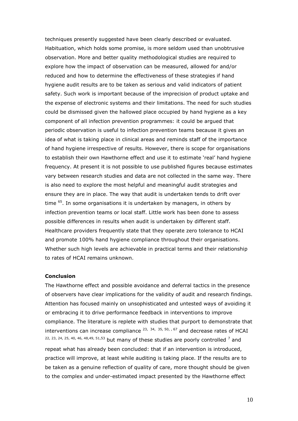techniques presently suggested have been clearly described or evaluated. Habituation, which holds some promise, is more seldom used than unobtrusive observation. More and better quality methodological studies are required to explore how the impact of observation can be measured, allowed for and/or reduced and how to determine the effectiveness of these strategies if hand hygiene audit results are to be taken as serious and valid indicators of patient safety. Such work is important because of the imprecision of product uptake and the expense of electronic systems and their limitations. The need for such studies could be dismissed given the hallowed place occupied by hand hygiene as a key component of all infection prevention programmes: it could be argued that periodic observation is useful to infection prevention teams because it gives an idea of what is taking place in clinical areas and reminds staff of the importance of hand hygiene irrespective of results. However, there is scope for organisations to establish their own Hawthorne effect and use it to estimate 'real' hand hygiene frequency. At present it is not possible to use published figures because estimates vary between research studies and data are not collected in the same way. There is also need to explore the most helpful and meaningful audit strategies and ensure they are in place. The way that audit is undertaken tends to drift over time <sup>65</sup>. In some organisations it is undertaken by managers, in others by infection prevention teams or local staff. Little work has been done to assess possible differences in results when audit is undertaken by different staff. Healthcare providers frequently state that they operate zero tolerance to HCAI and promote 100% hand hygiene compliance throughout their organisations. Whether such high levels are achievable in practical terms and their relationship to rates of HCAI remains unknown.

## **Conclusion**

The Hawthorne effect and possible avoidance and deferral tactics in the presence of observers have clear implications for the validity of audit and research findings. Attention has focused mainly on unsophisticated and untested ways of avoiding it or embracing it to drive performance feedback in interventions to improve compliance. The literature is replete with studies that purport to demonstrate that interventions can increase compliance  $^{23}$ ,  $^{34}$ ,  $^{35}$ ,  $^{50}$ ,  $^{67}$  and decrease rates of HCAI  $22, 23, 24, 25, 40, 46, 48, 49, 51, 53$  but many of these studies are poorly controlled  $7$  and repeat what has already been concluded: that if an intervention is introduced, practice will improve, at least while auditing is taking place. If the results are to be taken as a genuine reflection of quality of care, more thought should be given to the complex and under-estimated impact presented by the Hawthorne effect

10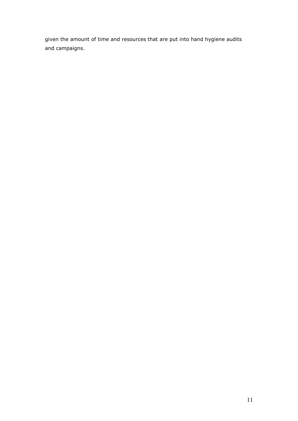given the amount of time and resources that are put into hand hygiene audits and campaigns.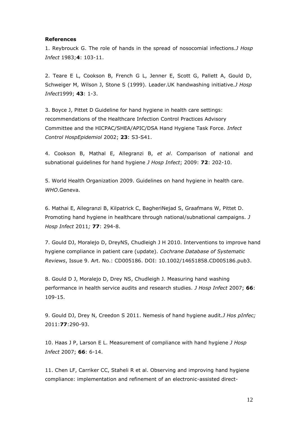## **References**

1. Reybrouck G. The role of hands in the spread of nosocomial infections.*J Hosp Infect* 1983;**4**: 103-11.

2. Teare E L, Cookson B, French G L, Jenner E, Scott G, Pallett A, Gould D, Schweiger M, Wilson J, Stone S (1999). Leader.UK handwashing initiative.*J Hosp Infect*1999; **43**: 1-3.

3. Boyce J, Pittet D Guideline for hand hygiene in health care settings: recommendations of the Healthcare Infection Control Practices Advisory Committee and the HICPAC/SHEA/APIC/DSA Hand Hygiene Task Force. *Infect Control HospEpidemiol* 2002; **23**: S3-S41.

4. Cookson B, Mathal E, Allegranzi B, *et al*. Comparison of national and subnational guidelines for hand hygiene *J Hosp Infect*; 2009: **72**: 202-10.

5. World Health Organization 2009. Guidelines on hand hygiene in health care. *WHO*.Geneva.

6. [Mathai E, Allegranzi B, Kilpatrick C, BagheriNejad S, Graafmans W, Pittet D.](http://www.ncbi.nlm.nih.gov/pubmed/22107015)  [Promoting hand hygiene in healthcare through national/subnational campaigns.](http://www.ncbi.nlm.nih.gov/pubmed/22107015) *J [Hosp Infect](http://www.ncbi.nlm.nih.gov/pubmed/22107015)* 2011*;* **77**: 294-8.

7. Gould DJ, Moralejo D, DreyNS, Chudleigh J H 2010. Interventions to improve hand hygiene compliance in patient care (update). *Cochrane Database of Systematic Reviews*, Issue 9. Art. No.: CD005186. DOI: 10.1002/14651858.CD005186.pub3.

8. Gould D J, Moralejo D, Drey NS, Chudleigh J. Measuring hand washing performance in health service audits and research studies. *J Hosp Infect* 2007; **66**: 109-15.

9. Gould DJ, Drey N, Creedon S 2011. Nemesis of hand hygiene audit.*J Hos pInfec;*  2011:**77**:290-93.

10. Haas J P, Larson E L. Measurement of compliance with hand hygiene *J Hosp Infect* 2007; **66**: 6-14.

11. Chen LF, Carriker CC, Staheli R et al. Observing and improving hand hygiene compliance: implementation and refinement of an electronic-assisted direct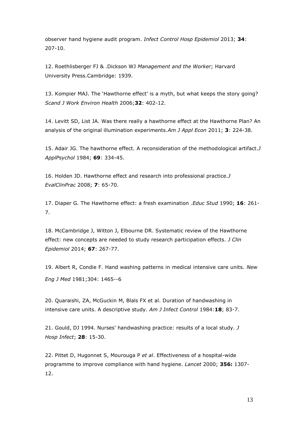observer hand hygiene audit program. *Infect Control Hosp Epidemiol* 2013; **34**: 207-10.

12. Roethlisberger FJ & .Dickson WJ *Management and the Worker*; Harvard University Press.Cambridge: 1939.

13. Kompier MAJ. The 'Hawthorne effect' is a myth, but what keeps the story going? *Scand J Work Environ Health* 2006;**32**: 402-12.

14. Levitt SD, List JA. Was there really a hawthorne effect at the Hawthorne Plan? An analysis of the original illumination experiments.*Am J Appl Econ* 2011; **3**: 224-38.

15. Adair JG. The hawthorne effect. A reconsideration of the methodological artifact.*J ApplPsychol* 1984; **69**: 334-45.

16. Holden JD. Hawthorne effect and research into professional practice.*J EvalClinPrac* 2008; **7**: 65-70.

17. Diaper G. The Hawthorne effect: a fresh examination .*Educ Stud* 1990; **16**: 261- 7.

18. McCambridge J, Witton J, Elbourne DR. Systematic review of the Hawthorne effect: new concepts are needed to study research participation effects. *J Clin Epidemiol* 2014; **67**: 267-77.

19. Albert R, Condie F. Hand washing patterns in medical intensive care units. *New Eng J Med* 1981;304: 1465--6

20. Quaraishi, ZA, McGuckin M, Blals FX et al. Duration of handwashing in intensive care units. A descriptive study. *Am J Infect Control* 1984:**18**; 83-7.

21. Gould, DJ 1994. Nurses' handwashing practice: results of a local study. *J Hosp Infect*; **28**: 15-30.

22. Pittet D, Hugonnet S, Mourouga P *et al*. Effectiveness of a hospital-wide programme to improve compliance with hand hygiene. *Lancet* 2000; **356:** 1307- 12.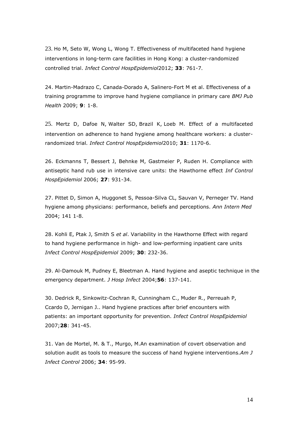23. [Ho M, Seto W, Wong L, Wong T. Effectiveness of multifaceted hand hygiene](http://www.ncbi.nlm.nih.gov/pubmed/22107015)  [interventions in long-term care facilities in Hong Kong: a cluster-randomized](http://www.ncbi.nlm.nih.gov/pubmed/22107015)  controlled trial. *[Infect Control HospEpidemiol](http://www.ncbi.nlm.nih.gov/pubmed/22107015)*2012; **33**: 761-7.

24. Martin-Madrazo C, Canada-Dorado A, Salinero-Fort M et al. Effectiveness of a training programme to improve hand hygiene compliance in primary care *BMJ Pub Health* 2009; **9**: 1-8.

25. [Mertz D,](http://www.ncbi.nlm.nih.gov/pubmed?term=Mertz%20D%5BAuthor%5D&cauthor=true&cauthor_uid=20923288) [Dafoe N,](http://www.ncbi.nlm.nih.gov/pubmed/22107015) [Walter SD,](http://www.ncbi.nlm.nih.gov/pubmed/22107015) [Brazil K,](http://www.ncbi.nlm.nih.gov/pubmed/22107015) [Loeb M. Effect of a multifaceted](http://www.ncbi.nlm.nih.gov/pubmed/22107015)  [intervention on adherence to hand hygiene among healthcare workers: a cluster](http://www.ncbi.nlm.nih.gov/pubmed/22107015)randomized trial*[. Infect Control HospEpidemiol](http://www.ncbi.nlm.nih.gov/pubmed/22107015)*2010; **31**: 1170-6.

26. Eckmanns T, Bessert J, Behnke M, Gastmeier P, Ruden H. Compliance with antiseptic hand rub use in intensive care units: the Hawthorne effect *Inf Control HospEpidemiol* 2006; **27**: 931-34.

27. Pittet D, Simon A, Huggonet S, Pessoa-Silva CL, Sauvan V, Perneger TV. Hand hygiene among physicians: performance, beliefs and perceptions. *Ann Intern Med* 2004; 141 1-8.

28. Kohli E, Ptak J, Smith S *et al*. Variability in the Hawthorne Effect with regard to hand hygiene performance in high- and low-performing inpatient care units *Infect Control HospEpidemiol* 2009; **30**: 232-36.

29. Al-Damouk M, Pudney E, Bleetman A. Hand hygiene and aseptic technique in the emergency department. *J Hosp Infect* 2004;**56**: 137-141.

30. Dedrick R, Sinkowitz-Cochran R, Cunningham C., Muder R., Perreuah P, Ccardo D, Jernigan J.. Hand hygiene practices after brief encounters with patients: an important opportunity for prevention. *Infect Control HospEpidemiol* 2007;**28**: 341-45.

31. Van de Mortel, M. & T., Murgo, M.An examination of covert observation and solution audit as tools to measure the success of hand hygiene interventions.*Am J Infect Control* 2006; **34**: 95-99.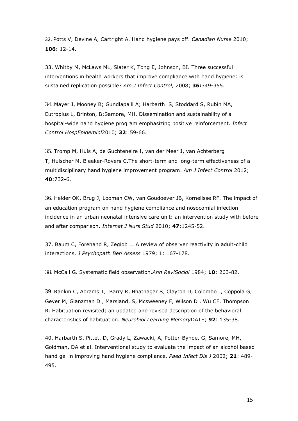32. [Potts V, Devine A, Cartright A. Hand hygiene pays off.](http://www.ncbi.nlm.nih.gov/pubmed/22107015) *Canadian Nurse* 2010; **106**[: 12-14.](http://www.ncbi.nlm.nih.gov/pubmed/22107015)

33. Whitby M, McLaws ML, Slater K, Tong E, Johnson, BI. Three successful interventions in health workers that improve compliance with hand hygiene: is sustained replication possible? *Am J Infect Control,* 2008; **36:**349-355.

34. [Mayer J, Mooney B; Gundlapalli A; Harbarth S, Stoddard S, Rubin MA,](http://www.ncbi.nlm.nih.gov/pubmed/22107015)  [Eutropius L, Brinton, B;Samore, MH. Dissemination and sustainability of a](http://www.ncbi.nlm.nih.gov/pubmed/22107015)  [hospital-wide hand hygiene program emphasizing positive reinforcement.](http://www.ncbi.nlm.nih.gov/pubmed/22107015) *Infect [Control HospEpidemiol](http://www.ncbi.nlm.nih.gov/pubmed/22107015)*2010; **32**: 59-66.

35. [Tromp M,](http://www.ncbi.nlm.nih.gov/pubmed?term=Tromp%20M%5BAuthor%5D&cauthor=true&cauthor_uid=22285710) [Huis A,](http://www.ncbi.nlm.nih.gov/pubmed/22107015) [de Guchteneire I,](http://www.ncbi.nlm.nih.gov/pubmed/22107015) [van der Meer J,](http://www.ncbi.nlm.nih.gov/pubmed/22107015) [van Achterberg](http://www.ncbi.nlm.nih.gov/pubmed/22107015)  [T,](http://www.ncbi.nlm.nih.gov/pubmed/22107015) [Hulscher M,](http://www.ncbi.nlm.nih.gov/pubmed?term=Hulscher%20M%5BAuthor%5D&cauthor=true&cauthor_uid=22285710) [Bleeker-Rovers C.](http://www.ncbi.nlm.nih.gov/pubmed?term=Bleeker-Rovers%20C%5BAuthor%5D&cauthor=true&cauthor_uid=22285710)The short-term and long-term effectiveness of a [multidisciplinary hand hygiene improvement program.](http://www.ncbi.nlm.nih.gov/pubmed/22107015) *Am J Infect Control* 2012; **40**[:732-6.](http://www.ncbi.nlm.nih.gov/pubmed/22107015) 

36. [Helder OK, Brug J, Looman CW, van Goudoever JB, Kornelisse RF. The impact of](http://www.ncbi.nlm.nih.gov/pubmed/22107015)  [an education program on hand hygiene compliance and nosocomial infection](http://www.ncbi.nlm.nih.gov/pubmed/22107015)  [incidence in an urban neonatal intensive care unit: an intervention study with before](http://www.ncbi.nlm.nih.gov/pubmed/22107015)  [and after comparison.](http://www.ncbi.nlm.nih.gov/pubmed/22107015) *Internat J Nurs Stud* 2010; **47**:1245-52.

37. Baum C, Forehand R, Zegiob L. A review of observer reactivity in adult-child interactions. *J Psychopath Beh Assess* 1979; 1: 167-178.

38. [McCall G. Systematic field observation.](http://www.ncbi.nlm.nih.gov/pubmed/22107015)*Ann ReviSociol* 1984; **10**: 263-82.

39. [Rankin C, Abrams T, Barry R, Bhatnagar S, Clayton D, Colombo J, Coppola G,](http://www.ncbi.nlm.nih.gov/pubmed/22107015)  [Geyer M, Glanzman D , Marsland, S, Mcsweeney F, Wilson D , Wu CF, Thompson](http://www.ncbi.nlm.nih.gov/pubmed/22107015)  [R. Habituation revisited; an updated and revised description of the behavioral](http://www.ncbi.nlm.nih.gov/pubmed/22107015)  [characteristics of habituation.](http://www.ncbi.nlm.nih.gov/pubmed/22107015) *Neurobiol Learning Memory*DATE; **92**: 135-38.

40. Harbarth S, Pittet, D, Grady L, Zawacki, A, Potter-Bynoe, G, Samore, MH, Goldman, DA et al. Interventional study to evaluate the impact of an alcohol based hand gel in improving hand hygiene compliance. *Paed Infect Dis J* 2002; **21**: 489- 495.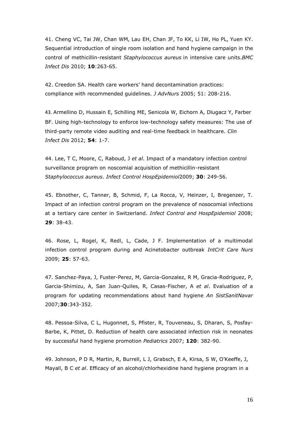41. [Cheng VC,](http://www.ncbi.nlm.nih.gov/pubmed?term=Cheng%20VC%5BAuthor%5D&cauthor=true&cauthor_uid=20822509) [Tai JW,](http://www.ncbi.nlm.nih.gov/pubmed?term=Tai%20JW%5BAuthor%5D&cauthor=true&cauthor_uid=20822509) [Chan WM,](http://www.ncbi.nlm.nih.gov/pubmed?term=Chan%20WM%5BAuthor%5D&cauthor=true&cauthor_uid=20822509) [Lau EH,](http://www.ncbi.nlm.nih.gov/pubmed?term=Lau%20EH%5BAuthor%5D&cauthor=true&cauthor_uid=20822509) [Chan JF,](http://www.ncbi.nlm.nih.gov/pubmed?term=Chan%20JF%5BAuthor%5D&cauthor=true&cauthor_uid=20822509) [To KK,](http://www.ncbi.nlm.nih.gov/pubmed?term=To%20KK%5BAuthor%5D&cauthor=true&cauthor_uid=20822509) [Li IW,](http://www.ncbi.nlm.nih.gov/pubmed?term=Li%20IW%5BAuthor%5D&cauthor=true&cauthor_uid=20822509) [Ho PL,](http://www.ncbi.nlm.nih.gov/pubmed?term=Ho%20PL%5BAuthor%5D&cauthor=true&cauthor_uid=20822509) [Yuen KY.](http://www.ncbi.nlm.nih.gov/pubmed?term=Yuen%20KY%5BAuthor%5D&cauthor=true&cauthor_uid=20822509) Sequential introduction of single room isolation and hand hygiene campaign in the control of methicillin-resistant *Staphylococcus aureus* in intensive care units.*BMC Infect Dis* 2010; **10**:263-65.

42. Creedon SA. Health care workers' hand decontamination practices: compliance with recommended guidelines. *J AdvNurs* 2005; 51: 208-216.

43. [Armellino D,](http://www.ncbi.nlm.nih.gov/pubmed?term=Armellino%20D%5BAuthor%5D&cauthor=true&cauthor_uid=22109950) [Hussain E,](http://www.ncbi.nlm.nih.gov/pubmed?term=Hussain%20E%5BAuthor%5D&cauthor=true&cauthor_uid=22109950) [Schilling ME,](http://www.ncbi.nlm.nih.gov/pubmed?term=Schilling%20ME%5BAuthor%5D&cauthor=true&cauthor_uid=22109950) [Senicola W,](http://www.ncbi.nlm.nih.gov/pubmed?term=Senicola%20W%5BAuthor%5D&cauthor=true&cauthor_uid=22109950) [Eichorn A,](http://www.ncbi.nlm.nih.gov/pubmed?term=Eichorn%20A%5BAuthor%5D&cauthor=true&cauthor_uid=22109950) [Dlugacz Y,](http://www.ncbi.nlm.nih.gov/pubmed?term=Dlugacz%20Y%5BAuthor%5D&cauthor=true&cauthor_uid=22109950) [Farber](http://www.ncbi.nlm.nih.gov/pubmed?term=Farber%20BF%5BAuthor%5D&cauthor=true&cauthor_uid=22109950)  [BF.](http://www.ncbi.nlm.nih.gov/pubmed?term=Farber%20BF%5BAuthor%5D&cauthor=true&cauthor_uid=22109950) Using high-technology to enforce low-technology safety measures: The use of third-party remote video auditing and real-time feedback in healthcare. *Clin Infect Dis* 2012; **54**: 1-7.

44. Lee, T C, Moore, C, Raboud, J *et al*. Impact of a mandatory infection control surveillance program on noscomial acquisition of methicillin-resistant *Staphylococcus aureus*. *Infect Control HospEpidemiol*2009; **30**: 249-56.

45. Ebnother, C, Tanner, B, Schmid, F, La Rocca, V, Heinzer, I, Bregenzer, T. Impact of an infection control program on the prevalence of nosocomial infections at a tertiary care center in Switzerland. *Infect Control and HospEpidemiol* 2008; **29**: 38-43.

46. Rose, L, Rogel, K, Redl, L, Cade, J F. Implementation of a multimodal infection control program during and Acinetobacter outbreak *IntCrit Care Nurs* 2009; **25**: 57-63.

47. Sanchez-Paya, J, Fuster-Perez, M, Garcia-Gonzalez, R M, Gracia-Rodriguez, P, Garcia-Shimizu, A, San Juan-Quiles, R, Casas-Fischer, A *et al*. Evaluation of a program for updating recommendations about hand hygiene *An SistSanitNavar* 2007;**30**:343-352.

48. Pessoa-Silva, C L, Hugonnet, S, Pfister, R, Touveneau, S, Dharan, S, Posfay-Barbe, K, Pittet, D. Reduction of health care associated infection risk in neonates by successful hand hygiene promotion *Pediatrics* 2007; **120**: 382-90.

49. Johnson, P D R, Martin, R, Burrell, L J, Grabsch, E A, Kirsa, S W, O'Keeffe, J, Mayall, B C *et al*. Efficacy of an alcohol/chlorhexidine hand hygiene program in a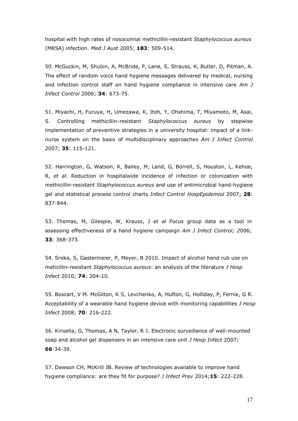hospital with high rates of nosocomial methicillin-resistant *Staphylococcus aureus* (MRSA) infection. *Med J Aust* 2005; **183**: 509-514.

50. McGuckin, M, Shubin, A, McBride, P, Lane, S, Strauss, K, Butler, D, Pitman, A. The effect of random voice hand hygiene messages delivered by medical, nursing and infection control staff on hand hygiene compliance in intensive care *Am J Infect Control* 2006; **34**: 673-75.

51. Miyachi, H, Furuya, H, Umezawa, K, Itoh, Y, Ohshima, T, Miyamoto, M, Asai, S. Controlling methicillin-resistant *Staphylococcus aureus* by stepwise implementation of preventive strategies in a university hospital: impact of a linknurse system on the basis of multidisciplinary approaches *Am J Infect Control* 2007; **35**: 115-121.

52. Harrington, G, Watson, K, Bailey, M, Land, G, Borrell, S, Houston, L, Kehoe, R, *et al*. Reduction in hospitalwide incidence of infection or colonization with methicillin-resistant *Staphylococcus aureus* and use of antimicrobial hand-hygiene gel and statistical process control charts *Infect Control HospEpidemiol* 2007; **28**: 837-844.

53. Thomas, M, Gilespie, W, Krauss, J *et al* Focus group data as a tool in assessing effectiveness of a hand hygiene campaign *Am J Infect Control; 2*006; **33**: 368-373.

54. Sroka, S, Gastermeier, P, Meyer, B 2010. Impact of alcohol hand rub use on meticillin-resistant *Staphylococcus aureus*: an analysis of the literature *J Hosp Infect* 2010; **74**: 204-10.

55. Boscart, V M. McGilton, K S, Levchenko, A, Hufton, G, Holliday, P, Fernie, G R. Acceptability of a wearable hand hygiene device with monitoring capabilities *J Hosp Infect* 2008; **70**: 216-222.

56. Kinsella, G, Thomas, A N, Taylor, R J. Electronic surveillance of wall-mounted soap and alcohol gel dispensers in an intensive care unit *J Hosp Infect* 2007; **66**:34-39.

57. Dawson CH, McKrill JB. Review of technologies available to improve hand hygiene compliance: are they fit for purpose? *J Infect Prev* 2014;**15**: 222-228.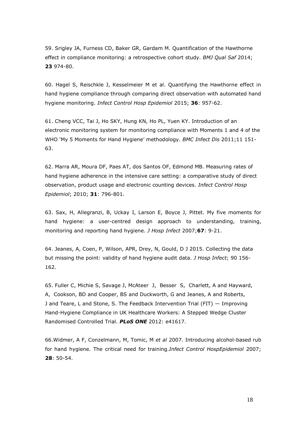59. Srigley JA, Furness CD, Baker GR, Gardam M. Quantification of the Hawthorne effect in compliance monitoring: a retrospective cohort study. *BMJ Qual Saf* 2014; **23** 974-80.

60. Hagel S, Reischkle J, Kesselmeier M et al. Quantifying the Hawthorne effect in hand hygiene compliance through comparing direct observation with automated hand hygiene monitoring. *Infect Control Hosp Epidemiol* 2015; **36**: 957-62.

61. Cheng VCC, Tai J, Ho SKY, Hung KN, Ho PL, Yuen KY. Introduction of an electronic monitoring system for monitoring compliance with Moments 1 and 4 of the WHO 'My 5 Moments for Hand Hygiene' methodology. *BMC Infect Dis* 2011;11 151- 63.

62. Marra AR, Moura DF, Paes AT, dos Santos OF, Edmond MB. Measuring rates of hand hygiene adherence in the intensive care setting: a comparative study of direct observation, product usage and electronic counting devices. *Infect Control Hosp Epidemiol*; 2010; **31**: 796-801.

63. Sax, H, Allegranzi, B, Uckay I, Larson E, Boyce J, Pittet. My five moments for hand hygiene: a user-centred design approach to understanding, training, monitoring and reporting hand hygiene. *J Hosp Infect* 2007;**67**: 9-21.

64. Jeanes, A, Coen, P, Wilson, APR, Drey, N, Gould, D J 2015. Collecting the data but missing the point: validity of hand hygiene audit data. *J Hosp Infect*; 90 156- 162.

65. Fuller C, Michie S, Savage J, McAteer J, Besser S, Charlett, A and Hayward, A, Cookson, BD and Cooper, BS and Duckworth, G and Jeanes, A and Roberts, J and Teare, L and Stone, S. The Feedback Intervention Trial (FIT) — Improving Hand-Hygiene Compliance in UK Healthcare Workers: A Stepped Wedge Cluster Randomised Controlled Trial. *PLoS ONE* 2012: e41617.

66.Widmer, A F, Conzelmann, M, Tomic, M *et al* 2007. Introducing alcohol-based rub for hand hygiene. The critical need for training.*Infect Control HospEpidemiol* 2007; **28**: 50-54.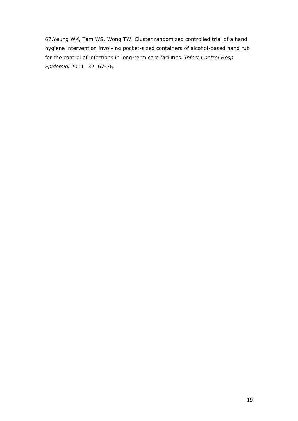67.Yeung WK, Tam WS, Wong TW. Cluster randomized controlled trial of a hand hygiene intervention involving pocket-sized containers of alcohol-based hand rub for the control of infections in long-term care facilities. *Infect Control Hosp Epidemiol* 2011; 32, 67-76.